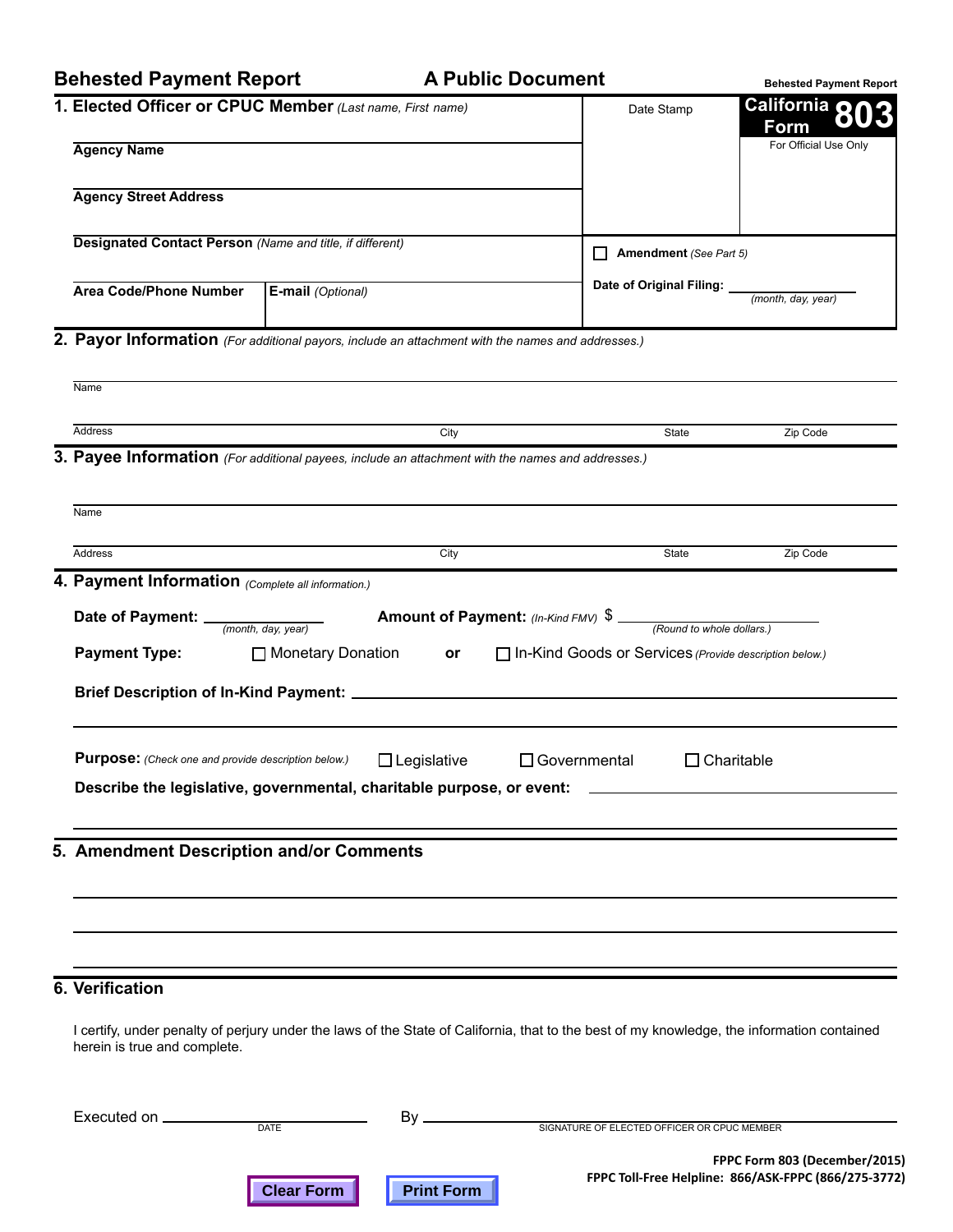## **Behested Payment Report Behested Payment Report**

## **A Public Document A Public Document**

**Behested Payment Report**

|                                                                                                                                                                                            |                   |                    |                                                                                                                                            | Denested Payment Report                                                               |
|--------------------------------------------------------------------------------------------------------------------------------------------------------------------------------------------|-------------------|--------------------|--------------------------------------------------------------------------------------------------------------------------------------------|---------------------------------------------------------------------------------------|
| 1. Elected Officer or CPUC Member (Last name, First name)                                                                                                                                  |                   |                    | Date Stamp                                                                                                                                 | California 80<br><b>Form</b>                                                          |
| <b>Agency Name</b>                                                                                                                                                                         |                   |                    |                                                                                                                                            | For Official Use Only                                                                 |
| <b>Agency Street Address</b>                                                                                                                                                               |                   |                    |                                                                                                                                            |                                                                                       |
| Designated Contact Person (Name and title, if different)                                                                                                                                   |                   |                    | Amendment (See Part 5)                                                                                                                     |                                                                                       |
|                                                                                                                                                                                            |                   |                    | Date of Original Filing: _                                                                                                                 |                                                                                       |
| <b>Area Code/Phone Number</b>                                                                                                                                                              | E-mail (Optional) |                    |                                                                                                                                            | (month, day, year)                                                                    |
| 2. Payor Information (For additional payors, include an attachment with the names and addresses.)                                                                                          |                   |                    |                                                                                                                                            |                                                                                       |
| Name                                                                                                                                                                                       |                   |                    |                                                                                                                                            |                                                                                       |
| Address                                                                                                                                                                                    |                   | City               | State                                                                                                                                      | Zip Code                                                                              |
| 3. Payee Information (For additional payees, include an attachment with the names and addresses.)                                                                                          |                   |                    |                                                                                                                                            |                                                                                       |
|                                                                                                                                                                                            |                   |                    |                                                                                                                                            |                                                                                       |
| Name                                                                                                                                                                                       |                   |                    |                                                                                                                                            |                                                                                       |
| Address<br>4. Payment Information (Complete all information.)                                                                                                                              |                   | City               | State                                                                                                                                      | Zip Code                                                                              |
| Brief Description of In-Kind Payment: _____________<br><b>Purpose:</b> (Check one and provide description below.)<br>Describe the legislative, governmental, charitable purpose, or event: |                   | $\Box$ Legislative | and the state of the state of the state of the state of the state of the<br>$\Box$ Governmental                                            | $\Box$ Charitable                                                                     |
| 5. Amendment Description and/or Comments                                                                                                                                                   |                   |                    |                                                                                                                                            |                                                                                       |
|                                                                                                                                                                                            |                   |                    |                                                                                                                                            |                                                                                       |
| <b>6. Verification</b>                                                                                                                                                                     |                   |                    |                                                                                                                                            |                                                                                       |
| herein is true and complete.                                                                                                                                                               |                   |                    | I certify, under penalty of perjury under the laws of the State of California, that to the best of my knowledge, the information contained |                                                                                       |
| Executed on ____________                                                                                                                                                                   | <b>DATE</b>       |                    |                                                                                                                                            |                                                                                       |
|                                                                                                                                                                                            | <b>Clear Form</b> | <b>Print Form</b>  |                                                                                                                                            | FPPC Form 803 (December/2015)<br>FPPC Toll-Free Helpline: 866/ASK-FPPC (866/275-3772) |